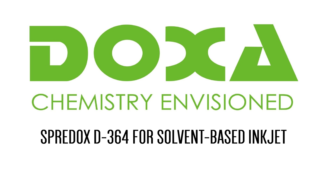

# **CHEMISTRY ENVISIONED**

### SPREDOX D-364 FOR SOLVENT-BASED INKJET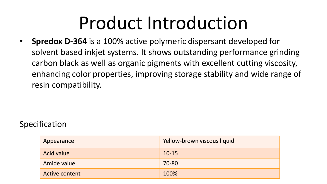# Product Introduction

• **Spredox D-364** is a 100% active polymeric dispersant developed for solvent based inkjet systems. It shows outstanding performance grinding carbon black as well as organic pigments with excellent cutting viscosity, enhancing color properties, improving storage stability and wide range of resin compatibility.

#### Specification

| Appearance     | Yellow-brown viscous liquid |
|----------------|-----------------------------|
| Acid value     | $10 - 15$                   |
| Amide value    | 70-80                       |
| Active content | 100%                        |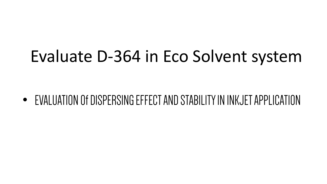### Evaluate D-364 in Eco Solvent system

• EVALUATION Of DISPERSING EFFECT AND STABILITY IN INKJET APPLICATION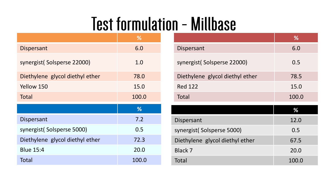## **Test formulation - Millbase**

|                                 | %     |                                 | %     |
|---------------------------------|-------|---------------------------------|-------|
| <b>Dispersant</b>               | 6.0   | Dispersant                      | 6.0   |
| synergist(Solsperse 22000)      | 1.0   | synergist(Solsperse 22000)      | 0.5   |
| Diethylene glycol diethyl ether | 78.0  | Diethylene glycol diethyl ether | 78.5  |
| Yellow 150                      | 15.0  | <b>Red 122</b>                  | 15.0  |
| <b>Total</b>                    | 100.0 | Total                           | 100.0 |
|                                 | %     |                                 | %     |
| <b>Dispersant</b>               | 7.2   | Dispersant                      | 12.0  |
| synergist (Solsperse 5000)      | 0.5   | synergist(Solsperse 5000)       | 0.5   |
| Diethylene glycol diethyl ether | 72.3  | Diethylene glycol diethyl ether | 67.5  |
| <b>Blue 15:4</b>                | 20.0  | Black 7                         | 20.0  |
| <b>Total</b>                    | 100.0 | Total                           | 100.0 |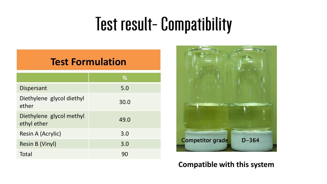# **Test result- Compatibility**

#### **Test Formulation**

|                                         | %    |
|-----------------------------------------|------|
| <b>Dispersant</b>                       | 5.0  |
| Diethylene glycol diethyl<br>ether      | 30.0 |
| Diethylene glycol methyl<br>ethyl ether | 49.0 |
| Resin A (Acrylic)                       | 3.0  |
| Resin B (Vinyl)                         | 3.0  |
| Total                                   | 90   |



#### **Compatible with this system**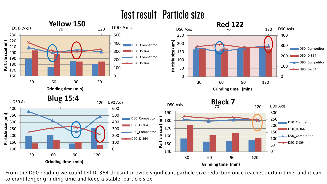#### Test result- Particle size



From the D90 reading we could tell D-364 doesn't provide significant particle size reduction once reaches certain time, and it can tolerant longer grinding time and keep a stable particle size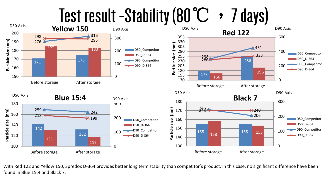

With Red 122 and Yellow 150, Spredox D-364 provides better long term stability than competitor's product. In this case, no significant difference have been found in Blue 15:4 and Black 7.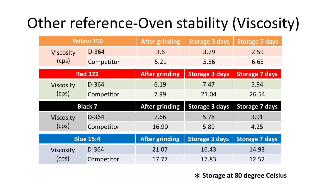### Other reference-Oven stability (Viscosity)

|                           | <b>Yellow 150</b> | <b>After grinding</b> | <b>Storage 3 days</b> | <b>Storage 7 days</b> |
|---------------------------|-------------------|-----------------------|-----------------------|-----------------------|
| <b>Viscosity</b><br>(cps) | $D-364$           | 3.6                   | 3.79                  | 2.59                  |
|                           | Competitor        | 5.21                  | 5.56                  | 6.65                  |
| <b>Red 122</b>            |                   | <b>After grinding</b> | <b>Storage 3 days</b> | <b>Storage 7 days</b> |
| <b>Viscosity</b>          | $D-364$           | 6.19                  | 7.47                  | 5.94                  |
| (cps)                     | Competitor        | 7.99                  | 21.04                 | 26.54                 |
| <b>Black 7</b>            |                   |                       |                       |                       |
|                           |                   | <b>After grinding</b> | <b>Storage 3 days</b> | <b>Storage 7 days</b> |
| Viscosity                 | D-364             | 7.66                  | 5.78                  | 3.91                  |
| (cps)                     | Competitor        | 16.90                 | 5.89                  | 4.25                  |
|                           | <b>Blue 15:4</b>  | <b>After grinding</b> | <b>Storage 3 days</b> | <b>Storage 7 days</b> |
| <b>Viscosity</b>          | D-364             | 21.07                 | 16.43                 | 14.93                 |

\* **Storage at 80 degree Celsius**